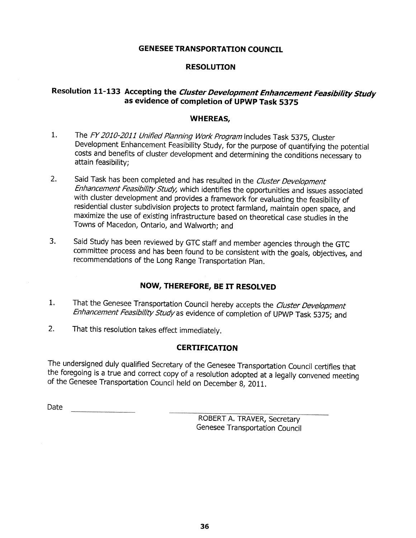### **GENESEE TRANSPORTATION COUNCIL**

### **RESOLUTION**

# Resolution 11-133 Accepting the Cluster Development Enhancement Feasibility Study as evidence of completion of UPWP Task 5375

### **WHEREAS,**

- The FY 2010-2011 Unified Planning Work Program includes Task 5375, Cluster  $1.$ Development Enhancement Feasibility Study, for the purpose of quantifying the potential costs and benefits of cluster development and determining the conditions necessary to attain feasibility:
- $2.$ Said Task has been completed and has resulted in the Cluster Development Enhancement Feasibility Study, which identifies the opportunities and issues associated with cluster development and provides a framework for evaluating the feasibility of residential cluster subdivision projects to protect farmland, maintain open space, and maximize the use of existing infrastructure based on theoretical case studies in the Towns of Macedon, Ontario, and Walworth: and
- 3. Said Study has been reviewed by GTC staff and member agencies through the GTC committee process and has been found to be consistent with the goals, objectives, and recommendations of the Long Range Transportation Plan.

## NOW, THEREFORE, BE IT RESOLVED

- That the Genesee Transportation Council hereby accepts the Cluster Development  $1.$ Enhancement Feasibility Study as evidence of completion of UPWP Task 5375; and
- $2.$ That this resolution takes effect immediately.

### **CERTIFICATION**

The undersigned duly qualified Secretary of the Genesee Transportation Council certifies that the foregoing is a true and correct copy of a resolution adopted at a legally convened meeting of the Genesee Transportation Council held on December 8, 2011.

Date

ROBERT A. TRAVER, Secretary Genesee Transportation Council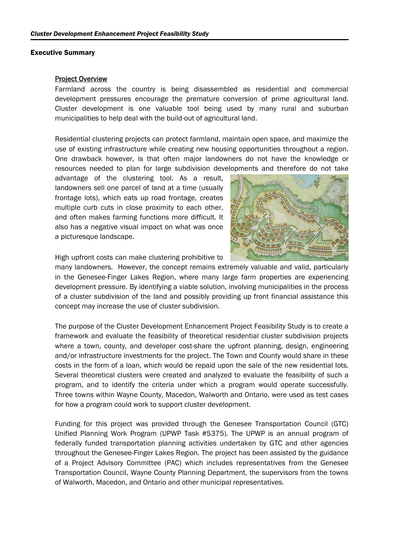#### Executive Summary

#### Project Overview

Farmland across the country is being disassembled as residential and commercial development pressures encourage the premature conversion of prime agricultural land. Cluster development is one valuable tool being used by many rural and suburban municipalities to help deal with the build-out of agricultural land.

Residential clustering projects can protect farmland, maintain open space, and maximize the use of existing infrastructure while creating new housing opportunities throughout a region. One drawback however, is that often major landowners do not have the knowledge or resources needed to plan for large subdivision developments and therefore do not take

advantage of the clustering tool. As a result, landowners sell one parcel of land at a time (usually frontage lots), which eats up road frontage, creates multiple curb cuts in close proximity to each other, and often makes farming functions more difficult. It also has a negative visual impact on what was once a picturesque landscape.



High upfront costs can make clustering prohibitive to

many landowners. However, the concept remains extremely valuable and valid, particularly in the Genesee-Finger Lakes Region, where many large farm properties are experiencing development pressure. By identifying a viable solution, involving municipalities in the process of a cluster subdivision of the land and possibly providing up front financial assistance this concept may increase the use of cluster subdivision.

The purpose of the Cluster Development Enhancement Project Feasibility Study is to create a framework and evaluate the feasibility of theoretical residential cluster subdivision projects where a town, county, and developer cost-share the upfront planning, design, engineering and/or infrastructure investments for the project. The Town and County would share in these costs in the form of a loan, which would be repaid upon the sale of the new residential lots. Several theoretical clusters were created and analyzed to evaluate the feasibility of such a program, and to identify the criteria under which a program would operate successfully. Three towns within Wayne County, Macedon, Walworth and Ontario, were used as test cases for how a program could work to support cluster development.

Funding for this project was provided through the Genesee Transportation Council (GTC) Unified Planning Work Program (UPWP Task #5375). The UPWP is an annual program of federally funded transportation planning activities undertaken by GTC and other agencies throughout the Genesee-Finger Lakes Region. The project has been assisted by the guidance of a Project Advisory Committee (PAC) which includes representatives from the Genesee Transportation Council, Wayne County Planning Department, the supervisors from the towns of Walworth, Macedon, and Ontario and other municipal representatives.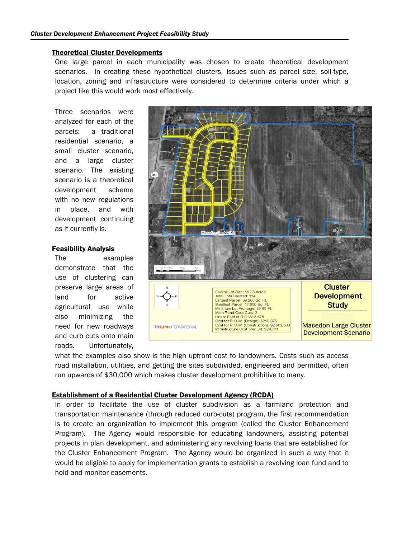### Theoretical Cluster Developments

One large parcel in each municipality was chosen to create theoretical development scenarios. In creating these hypothetical clusters, issues such as parcel size, soil-type, location, zoning and infrastructure were considered to determine criteria under which a project like this would work most effectively.

Three scenarios were analyzed for each of the parcels: a traditional residential scenario, a small cluster scenario, and a large cluster scenario. The existing scenario is a theoretical development scheme with no new regulations in place, and with development continuing as it currently is.

### Feasibility Analysis

The examples demonstrate that the use of clustering can preserve large areas of land for active agricultural use while also minimizing the need for new roadways and curb cuts onto main roads. Unfortunately,



what the examples also show is the high upfront cost to landowners. Costs such as access road installation, utilities, and getting the sites subdivided, engineered and permitted, often run upwards of \$30,000 which makes cluster development prohibitive to many.

### Establishment of a Residential Cluster Development Agency (RCDA)

In order to facilitate the use of cluster subdivision as a farmland protection and transportation maintenance (through reduced curb-cuts) program, the first recommendation is to create an organization to implement this program (called the Cluster Enhancement Program). The Agency would responsible for educating landowners, assisting potential projects in plan development, and administering any revolving loans that are established for the Cluster Enhancement Program. The Agency would be organized in such a way that it would be eligible to apply for implementation grants to establish a revolving loan fund and to hold and monitor easements.